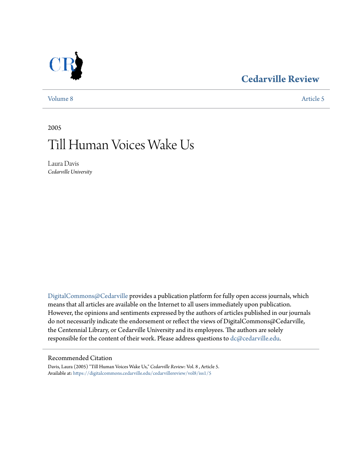### **[Cedarville Review](https://digitalcommons.cedarville.edu/cedarvillereview?utm_source=digitalcommons.cedarville.edu%2Fcedarvillereview%2Fvol8%2Fiss1%2F5&utm_medium=PDF&utm_campaign=PDFCoverPages)**



[Volume 8](https://digitalcommons.cedarville.edu/cedarvillereview/vol8?utm_source=digitalcommons.cedarville.edu%2Fcedarvillereview%2Fvol8%2Fiss1%2F5&utm_medium=PDF&utm_campaign=PDFCoverPages) [Article 5](https://digitalcommons.cedarville.edu/cedarvillereview/vol8/iss1/5?utm_source=digitalcommons.cedarville.edu%2Fcedarvillereview%2Fvol8%2Fiss1%2F5&utm_medium=PDF&utm_campaign=PDFCoverPages)

2005

# Till Human Voices Wake Us

Laura Davis *Cedarville University*

[DigitalCommons@Cedarville](http://digitalcommons.cedarville.edu) provides a publication platform for fully open access journals, which means that all articles are available on the Internet to all users immediately upon publication. However, the opinions and sentiments expressed by the authors of articles published in our journals do not necessarily indicate the endorsement or reflect the views of DigitalCommons@Cedarville, the Centennial Library, or Cedarville University and its employees. The authors are solely responsible for the content of their work. Please address questions to [dc@cedarville.edu](mailto:dc@cedarville.edu).

#### Recommended Citation

Davis, Laura (2005) "Till Human Voices Wake Us," *Cedarville Review*: Vol. 8 , Article 5. Available at: [https://digitalcommons.cedarville.edu/cedarvillereview/vol8/iss1/5](https://digitalcommons.cedarville.edu/cedarvillereview/vol8/iss1/5?utm_source=digitalcommons.cedarville.edu%2Fcedarvillereview%2Fvol8%2Fiss1%2F5&utm_medium=PDF&utm_campaign=PDFCoverPages)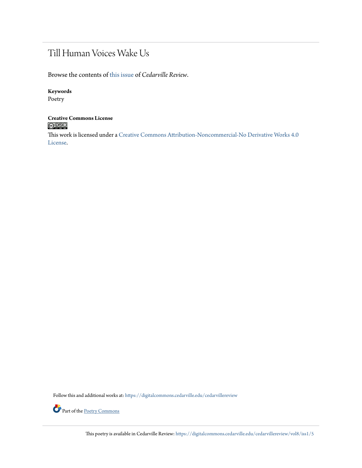## Till Human Voices Wake Us

Browse the contents of [this issue](https://digitalcommons.cedarville.edu/cedarvillereview/vol8/iss1) of *Cedarville Review*.

#### **Keywords**

Poetry

## **Creative Commons License**

This work is licensed under a [Creative Commons Attribution-Noncommercial-No Derivative Works 4.0](http://creativecommons.org/licenses/by-nc-nd/4.0/) [License.](http://creativecommons.org/licenses/by-nc-nd/4.0/)

Follow this and additional works at: [https://digitalcommons.cedarville.edu/cedarvillereview](https://digitalcommons.cedarville.edu/cedarvillereview?utm_source=digitalcommons.cedarville.edu%2Fcedarvillereview%2Fvol8%2Fiss1%2F5&utm_medium=PDF&utm_campaign=PDFCoverPages)



Part of the <u>[Poetry Commons](http://network.bepress.com/hgg/discipline/1153?utm_source=digitalcommons.cedarville.edu%2Fcedarvillereview%2Fvol8%2Fiss1%2F5&utm_medium=PDF&utm_campaign=PDFCoverPages)</u>

This poetry is available in Cedarville Review: [https://digitalcommons.cedarville.edu/cedarvillereview/vol8/iss1/5](https://digitalcommons.cedarville.edu/cedarvillereview/vol8/iss1/5?utm_source=digitalcommons.cedarville.edu%2Fcedarvillereview%2Fvol8%2Fiss1%2F5&utm_medium=PDF&utm_campaign=PDFCoverPages)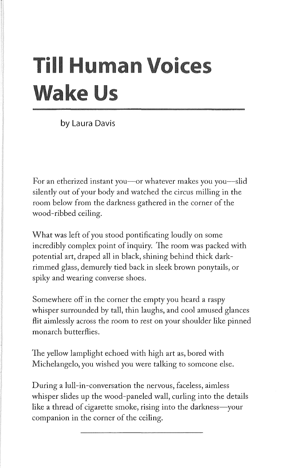# **Till Human Voices Wake Us**

by Laura Davis

For an etherized instant you—or whatever makes you you—slid silently out of your body and watched the circus milling in the room below from the darkness gathered in the corner of the wood-ribbed ceiling.

What was left of you stood pontificating loudly on some incredibly complex point of inquiry. The room was packed with potential art, draped all in black, shining behind thick darkrimmed glass, demurely tied back in sleek brown ponytails, or spiky and wearing converse shoes.

Somewhere off in the corner the empty you heard a raspy whisper surrounded by tall, thin laughs, and cool amused glances flit aimlessly across the room to rest on your shoulder like pinned monarch butterflies.

1he yellow lamplight echoed with high art as, bored with Michelangelo, you wished you were talking to someone else.

During a lull-in-conversation the nervous, faceless, aimless whisper slides up the wood-paneled wall, curling into the details like a thread of cigarette smoke, rising into the darkness-your companion in the corner of the ceiling.